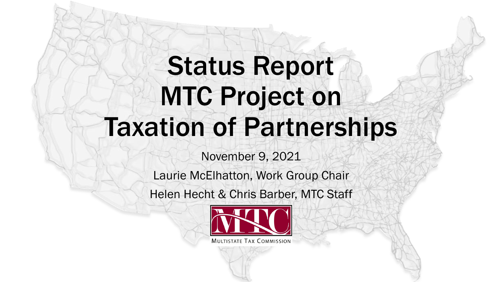# Status Report MTC Project on Taxation of Partnerships

November 9, 2021

Laurie McElhatton, Work Group Chair

Helen Hecht & Chris Barber, MTC Staff

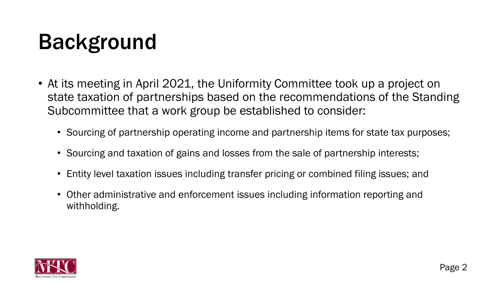# Background

- At its meeting in April 2021, the Uniformity Committee took up a project on state taxation of partnerships based on the recommendations of the Standing Subcommittee that a work group be established to consider:
	- Sourcing of partnership operating income and partnership items for state tax purposes;
	- Sourcing and taxation of gains and losses from the sale of partnership interests;
	- Entity level taxation issues including transfer pricing or combined filing issues; and
	- Other administrative and enforcement issues including information reporting and withholding.

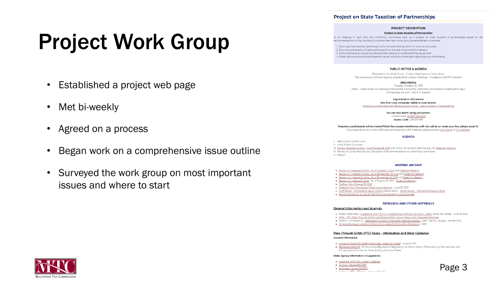### **Project on State Taxation of Partnerships**

### **PROJECT DESCRIPTION**

#### **Project on State Taxation of Partnerships**

At its meeting in April 2021, the Uniformity Committee took up a project on state taxation of partnerships based on the recommendations of the Standing Subcommittee that a work group be established to consider:

1. Sourcing of partnership operating income and partnership items for state tax purposes; 2. Sourcing and taxation of gains and losses from the sale of partnership interests; 3. Entity level taxation issues including transfer pricing or combined filing issues; and 4. Other administrative and enforcement issues including information reporting and withholding.

### **PUBLIC NOTICE & AGENDA**

Partnership Tax Work Group - Current Meetings and Information The work group will hold regularly scheduled bi-weekly meetings - Tuesdays at 2:00 P.M. Eastern

**Next Meeting** Tuesday, October 26, 2021 (Note - There will be no meeting on November 9 since the Uniformity Committee is meeting that day.) All meetings are 2:00 - 3:00 P.M. Eastern

Log-In/Dial-In Information Join from your computer, tablet or smartphone. https://www.gotomeet.me/LilaDisgue/work-group---state-taxation-of-partnerships

> You can also dial in using your phone. United States: +1 (872) 240-341 Access Code: 208-267-469

Telephone participants will be muted if their line causes interference with the call: to un-mute your line, please press \*6. If you experience any kind of difficulty participating in the meeting, please contact Lila Disque or Chris Barber

#### **AGENDA**

### I. Welcome & Introductions

II. Initial Public Comment

III. Review Updated Outline - As of October18, 2021 with minor corrections (starting at p. 45) Slides for Meeting

IV. Review of Survey Results and Discussion of Recommendation to Uniformity Committee V. Adjourn

#### **MEETING ARCHIVE**

- · Review of Updated Outline As of October 2, 2021 and Slides for Meeting
- . Review of Updated Outline As of September 23, 2021 and Slides for Meeting
- Review of Updated Outline As of September 8, 2021 and Slides for Meeting
- · Review of Updated Outline As of August 26, 2021 Slides for Meeting
- Outline As of August 10, 2021
- · Slides for First Partnership Work Group Meeting June 15, 2021
- . Staff Report Partnership Issue Outline (March 2020) Word Version Partnership Issue Outline
- . Recommendation on the Project from the Standing Subcommittee

#### **RESEARCH AND OTHER MATERIALS**

#### **General Information and Analysis**

- Walter Hellerstein, "Substance and Form in Jurisdictional Analysis: Corrigon v. Testo" (State Tax Notes) June 13, 2016
- . 2004 MTC Pass-Through Entity Compliance Work Group Report and Proposed Initiatives
- Martin J. McMahon, Jr., "Rethinking Taxation of Privately Held Businesses," (ABA, The Tax Lawyer) Winter 2016
- . Original Proposal to Adopt Uniform Composite & Withholding Provisions 1992

### Pass-Through Entity (PTE) Taxes - Information and State Guidance

#### **General Information:**

- . Article on State PTE Taxes(Wlodychak State Tax Notes) August 2021
- IRS Notice 2020-75 Forthcoming Regulations Regarding the Deductibility of Payments by Partnerships and S Corporations for Certain State and Local Income Taxes

#### **State Agency Information or Legislation:**

- Alabama PTE Info Agency Website
- Arizona Senate Bill 1783 Arkansas - House Bill 1209
- California ETD DTE Info. Anongu Walshire



# Project Work Group

- Established a project web page
- Met bi-weekly
- Agreed on a process
- Began work on a comprehensive issue outline
- Surveyed the work group on most important issues and where to start

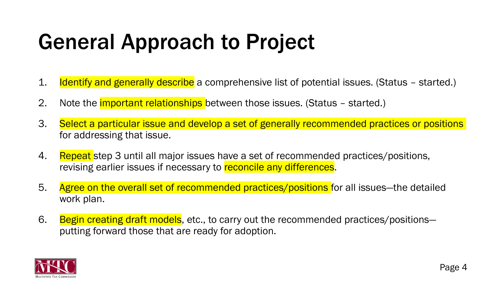# General Approach to Project

- 1. Identify and generally describe a comprehensive list of potential issues. (Status started.)
- 2. Note the *important relationships* between those issues. (Status started.)
- 3. Select a particular issue and develop a set of generally recommended practices or positions for addressing that issue.
- 4. Repeat step 3 until all major issues have a set of recommended practices/positions, revising earlier issues if necessary to reconcile any differences.
- 5. Agree on the overall set of recommended practices/positions for all issues—the detailed work plan.
- 6. Begin creating draft models, etc., to carry out the recommended practices/positionsputting forward those that are ready for adoption.

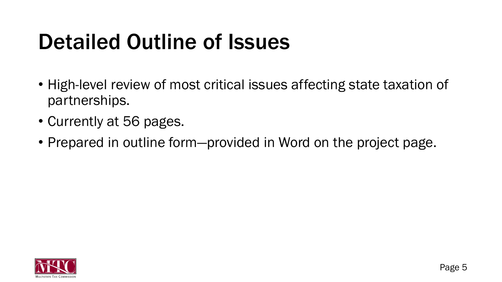# Detailed Outline of Issues

- High-level review of most critical issues affecting state taxation of partnerships.
- Currently at 56 pages.
- Prepared in outline form—provided in Word on the project page.

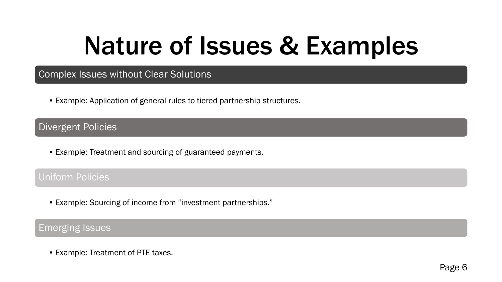# Nature of Issues & Examples

### Complex Issues without Clear Solutions

• Example: Application of general rules to tiered partnership structures.

Divergent Policies

• Example: Treatment and sourcing of guaranteed payments.

### Uniform Policies

• Example: Sourcing of income from "investment partnerships."

### Emerging Issues

• Example: Treatment of PTE taxes.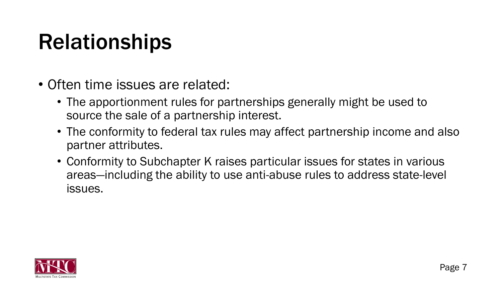# Relationships

- Often time issues are related:
	- The apportionment rules for partnerships generally might be used to source the sale of a partnership interest.
	- The conformity to federal tax rules may affect partnership income and also partner attributes.
	- Conformity to Subchapter K raises particular issues for states in various areas—including the ability to use anti-abuse rules to address state-level issues.

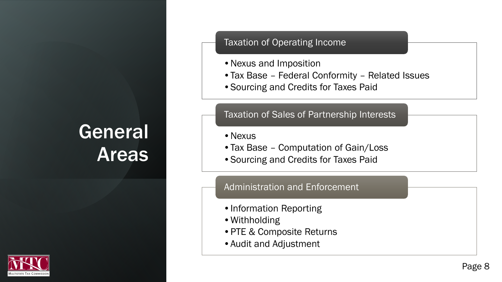# General Areas



### Taxation of Operating Income

- •Nexus and Imposition
- •Tax Base Federal Conformity Related Issues
- •Sourcing and Credits for Taxes Paid

### Taxation of Sales of Partnership Interests

- Nexus
- Tax Base Computation of Gain/Loss
- •Sourcing and Credits for Taxes Paid

### Administration and Enforcement

- •Information Reporting
- •Withholding
- •PTE & Composite Returns
- •Audit and Adjustment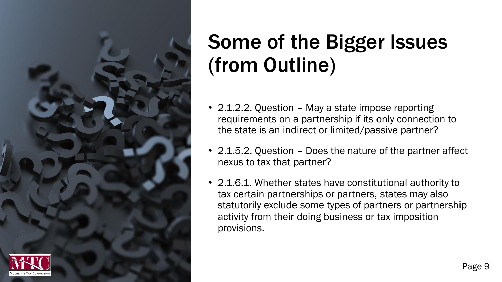

- 2.1.2.2. Question May a state impose reporting requirements on a partnership if its only connection to the state is an indirect or limited/passive partner?
- 2.1.5.2. Question Does the nature of the partner affect nexus to tax that partner?
- 2.1.6.1. Whether states have constitutional authority to tax certain partnerships or partners, states may also statutorily exclude some types of partners or partnership activity from their doing business or tax imposition provisions.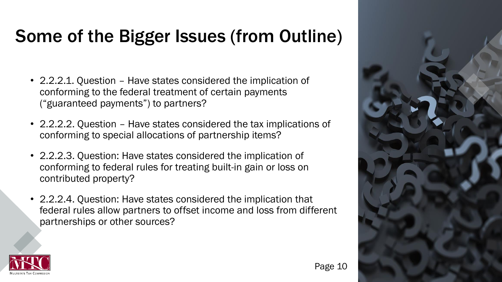- 2.2.2.1. Question Have states considered the implication of conforming to the federal treatment of certain payments ("guaranteed payments") to partners?
- 2.2.2.2. Question Have states considered the tax implications of conforming to special allocations of partnership items?
- 2.2.2.3. Question: Have states considered the implication of conforming to federal rules for treating built-in gain or loss on contributed property?
- 2.2.2.4. Question: Have states considered the implication that federal rules allow partners to offset income and loss from different partnerships or other sources?



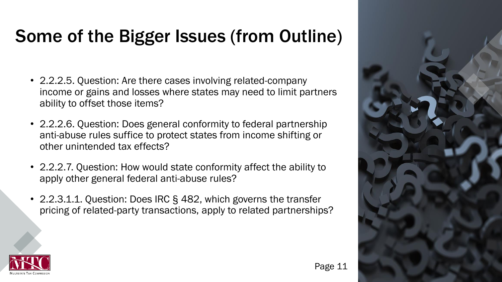- 2.2.2.5. Question: Are there cases involving related-company income or gains and losses where states may need to limit partners ability to offset those items?
- 2.2.2.6. Question: Does general conformity to federal partnership anti-abuse rules suffice to protect states from income shifting or other unintended tax effects?
- 2.2.2.7. Question: How would state conformity affect the ability to apply other general federal anti-abuse rules?
- 2.2.3.1.1. Question: Does IRC § 482, which governs the transfer pricing of related-party transactions, apply to related partnerships?



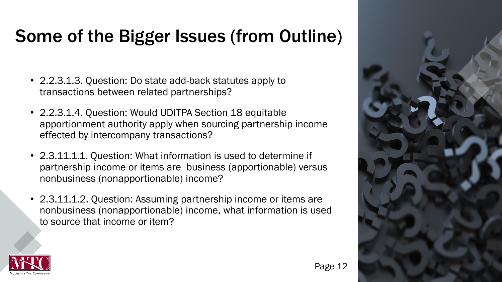- 2.2.3.1.3. Question: Do state add-back statutes apply to transactions between related partnerships?
- 2.2.3.1.4. Question: Would UDITPA Section 18 equitable apportionment authority apply when sourcing partnership income effected by intercompany transactions?
- 2.3.11.1.1. Question: What information is used to determine if partnership income or items are business (apportionable) versus nonbusiness (nonapportionable) income?
- 2.3.11.1.2. Question: Assuming partnership income or items are nonbusiness (nonapportionable) income, what information is used to source that income or item?



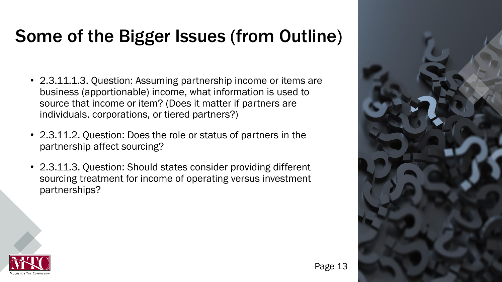- 2.3.11.1.3. Question: Assuming partnership income or items are business (apportionable) income, what information is used to source that income or item? (Does it matter if partners are individuals, corporations, or tiered partners?)
- 2.3.11.2. Question: Does the role or status of partners in the partnership affect sourcing?
- 2.3.11.3. Question: Should states consider providing different sourcing treatment for income of operating versus investment partnerships?



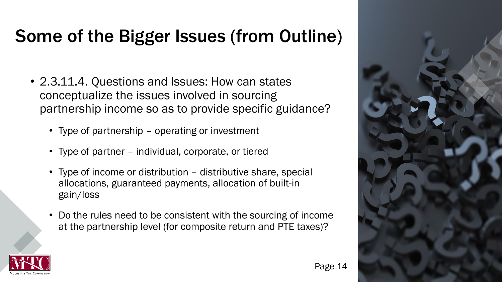- 2.3.11.4. Questions and Issues: How can states conceptualize the issues involved in sourcing partnership income so as to provide specific guidance?
	- Type of partnership operating or investment
	- Type of partner individual, corporate, or tiered
	- Type of income or distribution distributive share, special allocations, guaranteed payments, allocation of built-in gain/loss
	- Do the rules need to be consistent with the sourcing of income at the partnership level (for composite return and PTE taxes)?



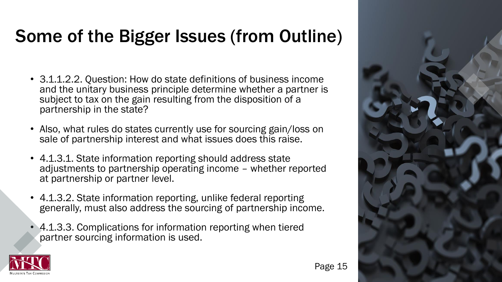- 3.1.1.2.2. Question: How do state definitions of business income and the unitary business principle determine whether a partner is subject to tax on the gain resulting from the disposition of a partnership in the state?
- Also, what rules do states currently use for sourcing gain/loss on sale of partnership interest and what issues does this raise.
- 4.1.3.1. State information reporting should address state adjustments to partnership operating income – whether reported at partnership or partner level.
- 4.1.3.2. State information reporting, unlike federal reporting generally, must also address the sourcing of partnership income.
- 4.1.3.3. Complications for information reporting when tiered partner sourcing information is used.



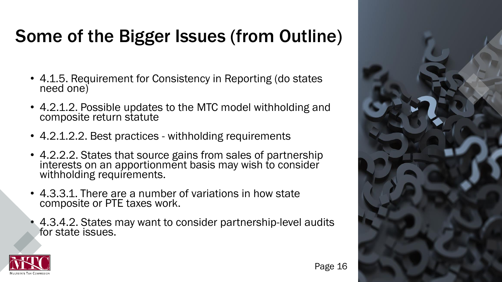- 4.1.5. Requirement for Consistency in Reporting (do states need one)
- 4.2.1.2. Possible updates to the MTC model withholding and composite return statute
- 4.2.1.2.2. Best practices withholding requirements
- 4.2.2.2. States that source gains from sales of partnership interests on an apportionment basis may wish to consider withholding requirements.
- 4.3.3.1. There are a number of variations in how state composite or PTE taxes work.
- 4.3.4.2. States may want to consider partnership-level audits for state issues.



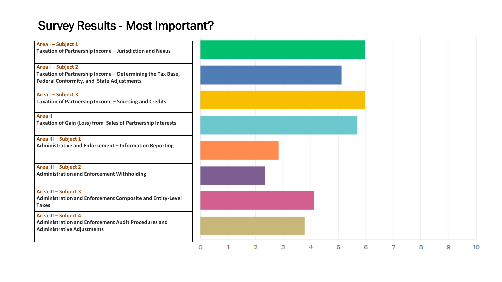### Survey Results - Most Important?

| Area I - Subject 1                                                                                      |  |    |    |   |    |   |   |    |   |    |
|---------------------------------------------------------------------------------------------------------|--|----|----|---|----|---|---|----|---|----|
| Taxation of Partnership Income - Jurisdiction and Nexus -                                               |  |    |    |   |    |   |   |    |   |    |
| Area I - Subject 2                                                                                      |  |    |    |   |    |   |   |    |   |    |
| Taxation of Partnership Income - Determining the Tax Base,<br>Federal Conformity, and State Adjustments |  |    |    |   |    |   |   |    |   |    |
| Area I - Subject 3                                                                                      |  |    |    |   |    |   |   |    |   |    |
| Taxation of Partnership Income - Sourcing and Credits                                                   |  |    |    |   |    |   |   |    |   |    |
| <b>Area II</b>                                                                                          |  |    |    |   |    |   |   |    |   |    |
| Taxation of Gain (Loss) from Sales of Partnership Interests                                             |  |    |    |   |    |   |   |    |   |    |
| Area III - Subject 1                                                                                    |  |    |    |   |    |   |   |    |   |    |
| Administrative and Enforcement - Information Reporting                                                  |  |    |    |   |    |   |   |    |   |    |
| Area III - Subject 2                                                                                    |  |    |    |   |    |   |   |    |   |    |
| Administration and Enforcement Withholding                                                              |  |    |    |   |    |   |   |    |   |    |
| Area III - Subject 3                                                                                    |  |    |    |   |    |   |   |    |   |    |
| Administration and Enforcement Composite and Entity-Level<br><b>Taxes</b>                               |  |    |    |   |    |   |   |    |   |    |
| Area III - Subject 4                                                                                    |  |    |    |   |    |   |   |    |   |    |
| Administration and Enforcement Audit Procedures and<br>Administrative Adjustments                       |  |    |    |   |    |   |   |    |   |    |
|                                                                                                         |  | 9. | з. | ◢ | Б. | в | 7 | 8. | ۹ | 10 |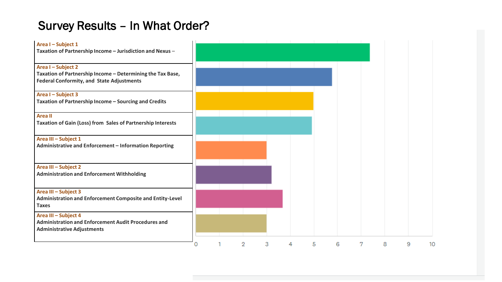## Survey Results – In What Order?

| Area I - Subject 1<br>Taxation of Partnership Income - Jurisdiction and Nexus -                                                      |   |   |   |   |   |   |   |   |   |   |    |
|--------------------------------------------------------------------------------------------------------------------------------------|---|---|---|---|---|---|---|---|---|---|----|
| Area I - Subject 2<br>Taxation of Partnership Income - Determining the Tax Base,<br><b>Federal Conformity, and State Adjustments</b> |   |   |   |   |   |   |   |   |   |   |    |
| Area I - Subject 3<br>Taxation of Partnership Income - Sourcing and Credits                                                          |   |   |   |   |   |   |   |   |   |   |    |
| <b>Areall</b><br><b>Taxation of Gain (Loss) from Sales of Partnership Interests</b>                                                  |   |   |   |   |   |   |   |   |   |   |    |
| Area III - Subject 1<br>Administrative and Enforcement - Information Reporting                                                       |   |   |   |   |   |   |   |   |   |   |    |
| Area III - Subject 2<br><b>Administration and Enforcement Withholding</b>                                                            |   |   |   |   |   |   |   |   |   |   |    |
| Area III - Subject 3<br>Administration and Enforcement Composite and Entity-Level<br><b>Taxes</b>                                    |   |   |   |   |   |   |   |   |   |   |    |
| Area III - Subject 4<br><b>Administration and Enforcement Audit Procedures and</b><br><b>Administrative Adjustments</b>              |   |   |   |   |   |   |   |   |   |   |    |
|                                                                                                                                      | 0 | 1 | 2 | 3 | 4 | 5 | 6 | 7 | 8 | 9 | 10 |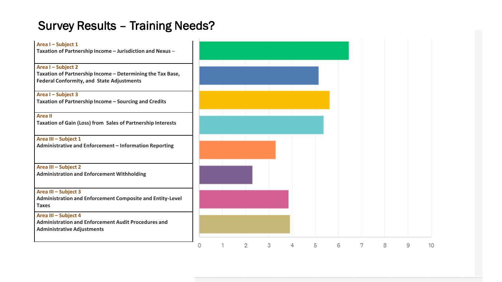## Survey Results – Training Needs?

| Area I - Subject 1<br>Taxation of Partnership Income - Jurisdiction and Nexus -                                                      |   |   |   |   |   |   |   |   |   |    |
|--------------------------------------------------------------------------------------------------------------------------------------|---|---|---|---|---|---|---|---|---|----|
| Area I - Subject 2<br>Taxation of Partnership Income - Determining the Tax Base,<br><b>Federal Conformity, and State Adjustments</b> |   |   |   |   |   |   |   |   |   |    |
| Area I - Subject 3<br>Taxation of Partnership Income - Sourcing and Credits                                                          |   |   |   |   |   |   |   |   |   |    |
| <b>Area II</b><br>Taxation of Gain (Loss) from Sales of Partnership Interests                                                        |   |   |   |   |   |   |   |   |   |    |
| Area III - Subject 1<br>Administrative and Enforcement - Information Reporting                                                       |   |   |   |   |   |   |   |   |   |    |
| Area III - Subject 2<br><b>Administration and Enforcement Withholding</b>                                                            |   |   |   |   |   |   |   |   |   |    |
| Area III - Subject 3<br>Administration and Enforcement Composite and Entity-Level<br><b>Taxes</b>                                    |   |   |   |   |   |   |   |   |   |    |
| Area III - Subject 4<br><b>Administration and Enforcement Audit Procedures and</b><br><b>Administrative Adjustments</b>              |   |   |   |   |   |   |   |   |   |    |
|                                                                                                                                      | 0 | 2 | 3 | 4 | 5 | 6 | 7 | 8 | 9 | 10 |